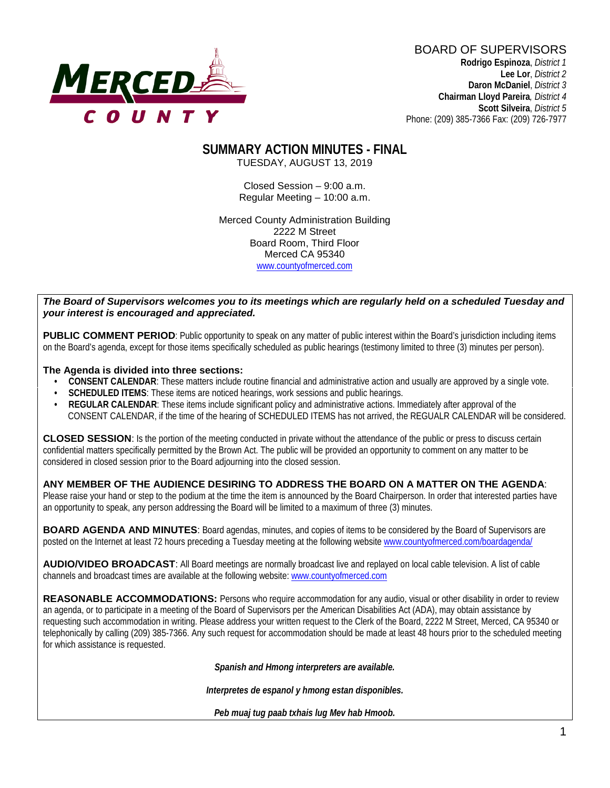

BOARD OF SUPERVISORS **Rodrigo Espinoza**, *District 1*  **Lee Lor**, *District 2*  **Daron McDaniel**, *District 3* **Chairman Lloyd Pareira***, District 4*  **Scott Silveira**, *District 5* Phone: (209) 385-7366 Fax: (209) 726-7977

# **SUMMARY ACTION MINUTES - FINAL**

TUESDAY, AUGUST 13, 2019

Closed Session – 9:00 a.m. Regular Meeting – 10:00 a.m.

Merced County Administration Building 2222 M Street Board Room, Third Floor Merced CA 95340 www.countyofmerced.com

#### *The Board of Supervisors welcomes you to its meetings which are regularly held on a scheduled Tuesday and your interest is encouraged and appreciated.*

**PUBLIC COMMENT PERIOD:** Public opportunity to speak on any matter of public interest within the Board's jurisdiction including items on the Board's agenda, except for those items specifically scheduled as public hearings (testimony limited to three (3) minutes per person).

#### **The Agenda is divided into three sections:**

- **CONSENT CALENDAR**: These matters include routine financial and administrative action and usually are approved by a single vote.
- **SCHEDULED ITEMS:** These items are noticed hearings, work sessions and public hearings.
- **REGULAR CALENDAR**: These items include significant policy and administrative actions. Immediately after approval of the CONSENT CALENDAR, if the time of the hearing of SCHEDULED ITEMS has not arrived, the REGUALR CALENDAR will be considered.

**CLOSED SESSION**: Is the portion of the meeting conducted in private without the attendance of the public or press to discuss certain confidential matters specifically permitted by the Brown Act. The public will be provided an opportunity to comment on any matter to be considered in closed session prior to the Board adjourning into the closed session.

#### **ANY MEMBER OF THE AUDIENCE DESIRING TO ADDRESS THE BOARD ON A MATTER ON THE AGENDA**:

Please raise your hand or step to the podium at the time the item is announced by the Board Chairperson. In order that interested parties have an opportunity to speak, any person addressing the Board will be limited to a maximum of three (3) minutes.

**BOARD AGENDA AND MINUTES:** Board agendas, minutes, and copies of items to be considered by the Board of Supervisors are posted on the Internet at least 72 hours preceding a Tuesday meeting at the following website [www.countyofmerced.com/boardagenda/](http://www.countyofmerced.com/boardagenda/) 

**AUDIO/VIDEO BROADCAST**: All Board meetings are normally broadcast live and replayed on local cable television. A list of cable channels and broadcast times are available at the following website[: www.countyofmerced.com](http://www.countyofmerced.com/)

**REASONABLE ACCOMMODATIONS:** Persons who require accommodation for any audio, visual or other disability in order to review an agenda, or to participate in a meeting of the Board of Supervisors per the American Disabilities Act (ADA), may obtain assistance by requesting such accommodation in writing. Please address your written request to the Clerk of the Board, 2222 M Street, Merced, CA 95340 or telephonically by calling (209) 385-7366. Any such request for accommodation should be made at least 48 hours prior to the scheduled meeting for which assistance is requested.

*Spanish and Hmong interpreters are available.*

*Interpretes de espanol y hmong estan disponibles.*

*Peb muaj tug paab txhais lug Mev hab Hmoob.*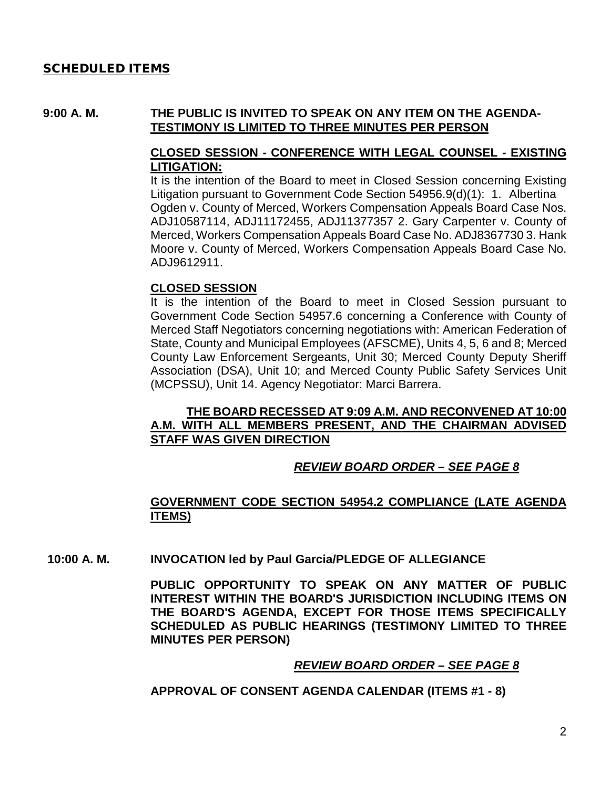#### SCHEDULED ITEMS

#### **9:00 A. M. THE PUBLIC IS INVITED TO SPEAK ON ANY ITEM ON THE AGENDA-TESTIMONY IS LIMITED TO THREE MINUTES PER PERSON**

#### **CLOSED SESSION - CONFERENCE WITH LEGAL COUNSEL - EXISTING LITIGATION:**

It is the intention of the Board to meet in Closed Session concerning Existing Litigation pursuant to Government Code Section 54956.9(d)(1): 1. Albertina Ogden v. County of Merced, Workers Compensation Appeals Board Case Nos. ADJ10587114, ADJ11172455, ADJ11377357 2. Gary Carpenter v. County of Merced, Workers Compensation Appeals Board Case No. ADJ8367730 3. Hank Moore v. County of Merced, Workers Compensation Appeals Board Case No. ADJ9612911.

#### **CLOSED SESSION**

It is the intention of the Board to meet in Closed Session pursuant to Government Code Section 54957.6 concerning a Conference with County of Merced Staff Negotiators concerning negotiations with: American Federation of State, County and Municipal Employees (AFSCME), Units 4, 5, 6 and 8; Merced County Law Enforcement Sergeants, Unit 30; Merced County Deputy Sheriff Association (DSA), Unit 10; and Merced County Public Safety Services Unit (MCPSSU), Unit 14. Agency Negotiator: Marci Barrera.

#### **THE BOARD RECESSED AT 9:09 A.M. AND RECONVENED AT 10:00 A.M. WITH ALL MEMBERS PRESENT, AND THE CHAIRMAN ADVISED STAFF WAS GIVEN DIRECTION**

#### *REVIEW BOARD ORDER – SEE PAGE 8*

#### **GOVERNMENT CODE SECTION 54954.2 COMPLIANCE (LATE AGENDA ITEMS)**

**10:00 A. M. INVOCATION led by Paul Garcia/PLEDGE OF ALLEGIANCE**

**PUBLIC OPPORTUNITY TO SPEAK ON ANY MATTER OF PUBLIC INTEREST WITHIN THE BOARD'S JURISDICTION INCLUDING ITEMS ON THE BOARD'S AGENDA, EXCEPT FOR THOSE ITEMS SPECIFICALLY SCHEDULED AS PUBLIC HEARINGS (TESTIMONY LIMITED TO THREE MINUTES PER PERSON)**

#### *REVIEW BOARD ORDER – SEE PAGE 8*

#### **APPROVAL OF CONSENT AGENDA CALENDAR (ITEMS #1 - 8)**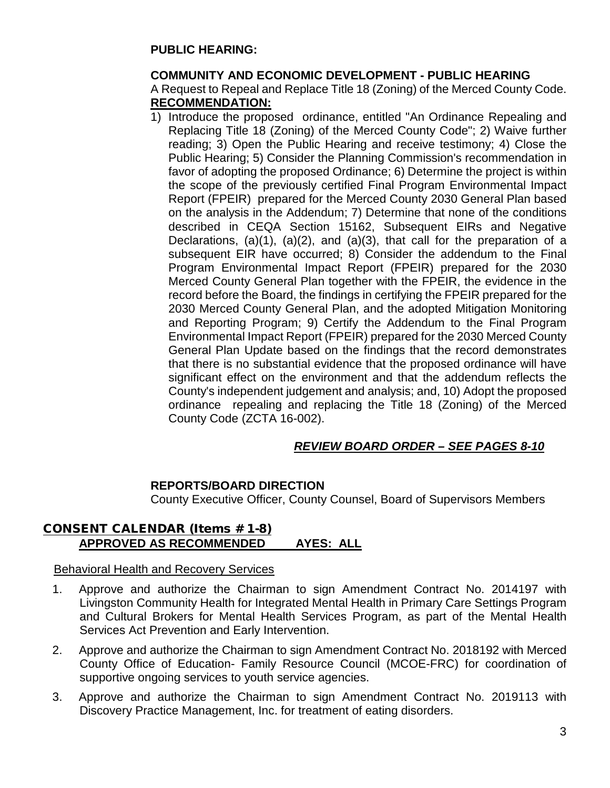#### **PUBLIC HEARING:**

#### **COMMUNITY AND ECONOMIC DEVELOPMENT - PUBLIC HEARING**

A Request to Repeal and Replace Title 18 (Zoning) of the Merced County Code. **RECOMMENDATION:**

1) Introduce the proposed ordinance, entitled "An Ordinance Repealing and Replacing Title 18 (Zoning) of the Merced County Code"; 2) Waive further reading; 3) Open the Public Hearing and receive testimony; 4) Close the Public Hearing; 5) Consider the Planning Commission's recommendation in favor of adopting the proposed Ordinance; 6) Determine the project is within the scope of the previously certified Final Program Environmental Impact Report (FPEIR) prepared for the Merced County 2030 General Plan based on the analysis in the Addendum; 7) Determine that none of the conditions described in CEQA Section 15162, Subsequent EIRs and Negative Declarations, (a)(1), (a)(2), and (a)(3), that call for the preparation of a subsequent EIR have occurred; 8) Consider the addendum to the Final Program Environmental Impact Report (FPEIR) prepared for the 2030 Merced County General Plan together with the FPEIR, the evidence in the record before the Board, the findings in certifying the FPEIR prepared for the 2030 Merced County General Plan, and the adopted Mitigation Monitoring and Reporting Program; 9) Certify the Addendum to the Final Program Environmental Impact Report (FPEIR) prepared for the 2030 Merced County General Plan Update based on the findings that the record demonstrates that there is no substantial evidence that the proposed ordinance will have significant effect on the environment and that the addendum reflects the County's independent judgement and analysis; and, 10) Adopt the proposed ordinance repealing and replacing the Title 18 (Zoning) of the Merced County Code (ZCTA 16-002).

#### *REVIEW BOARD ORDER – SEE PAGES 8-10*

#### **REPORTS/BOARD DIRECTION**

County Executive Officer, County Counsel, Board of Supervisors Members

#### CONSENT CALENDAR (Items # 1-8) **APPROVED AS RECOMMENDED AYES: ALL**

#### Behavioral Health and Recovery Services

- 1. Approve and authorize the Chairman to sign Amendment Contract No. 2014197 with Livingston Community Health for Integrated Mental Health in Primary Care Settings Program and Cultural Brokers for Mental Health Services Program, as part of the Mental Health Services Act Prevention and Early Intervention.
- 2. Approve and authorize the Chairman to sign Amendment Contract No. 2018192 with Merced County Office of Education- Family Resource Council (MCOE-FRC) for coordination of supportive ongoing services to youth service agencies.
- 3. Approve and authorize the Chairman to sign Amendment Contract No. 2019113 with Discovery Practice Management, Inc. for treatment of eating disorders.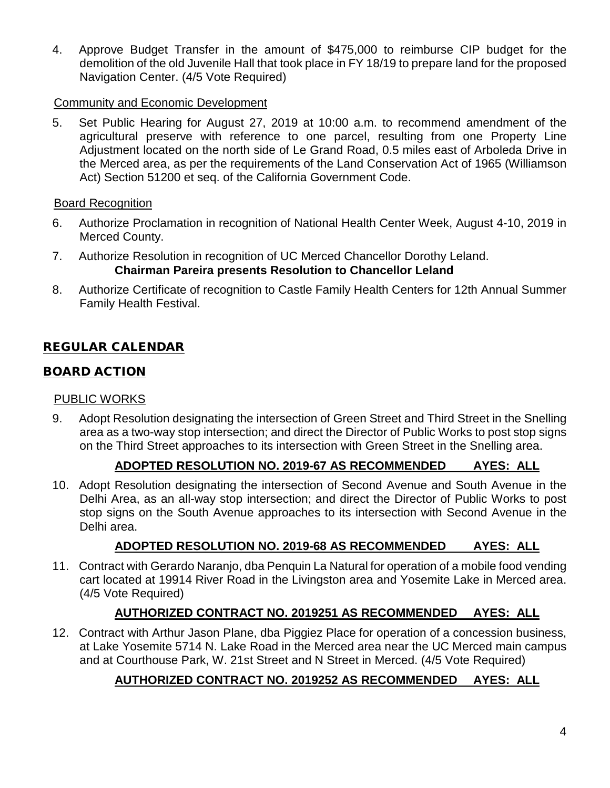4. Approve Budget Transfer in the amount of \$475,000 to reimburse CIP budget for the demolition of the old Juvenile Hall that took place in FY 18/19 to prepare land for the proposed Navigation Center. (4/5 Vote Required)

#### Community and Economic Development

5. Set Public Hearing for August 27, 2019 at 10:00 a.m. to recommend amendment of the agricultural preserve with reference to one parcel, resulting from one Property Line Adjustment located on the north side of Le Grand Road, 0.5 miles east of Arboleda Drive in the Merced area, as per the requirements of the Land Conservation Act of 1965 (Williamson Act) Section 51200 et seq. of the California Government Code.

#### Board Recognition

- 6. Authorize Proclamation in recognition of National Health Center Week, August 4-10, 2019 in Merced County.
- 7. Authorize Resolution in recognition of UC Merced Chancellor Dorothy Leland. **Chairman Pareira presents Resolution to Chancellor Leland**
- 8. Authorize Certificate of recognition to Castle Family Health Centers for 12th Annual Summer Family Health Festival.

### REGULAR CALENDAR

### BOARD ACTION

#### PUBLIC WORKS

9. Adopt Resolution designating the intersection of Green Street and Third Street in the Snelling area as a two-way stop intersection; and direct the Director of Public Works to post stop signs on the Third Street approaches to its intersection with Green Street in the Snelling area.

#### **ADOPTED RESOLUTION NO. 2019-67 AS RECOMMENDED AYES: ALL**

10. Adopt Resolution designating the intersection of Second Avenue and South Avenue in the Delhi Area, as an all-way stop intersection; and direct the Director of Public Works to post stop signs on the South Avenue approaches to its intersection with Second Avenue in the Delhi area.

### **ADOPTED RESOLUTION NO. 2019-68 AS RECOMMENDED AYES: ALL**

11. Contract with Gerardo Naranjo, dba Penquin La Natural for operation of a mobile food vending cart located at 19914 River Road in the Livingston area and Yosemite Lake in Merced area. (4/5 Vote Required)

### **AUTHORIZED CONTRACT NO. 2019251 AS RECOMMENDED AYES: ALL**

12. Contract with Arthur Jason Plane, dba Piggiez Place for operation of a concession business, at Lake Yosemite 5714 N. Lake Road in the Merced area near the UC Merced main campus and at Courthouse Park, W. 21st Street and N Street in Merced. (4/5 Vote Required)

### **AUTHORIZED CONTRACT NO. 2019252 AS RECOMMENDED AYES: ALL**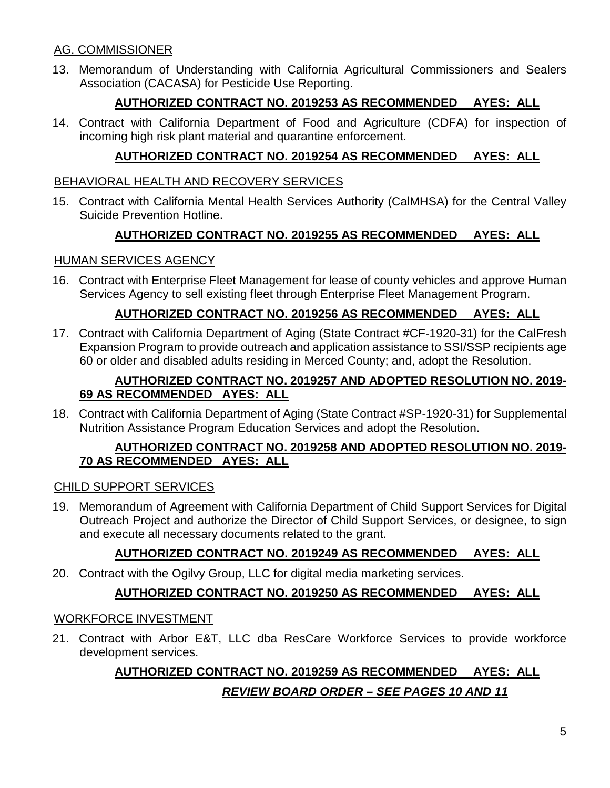### AG. COMMISSIONER

13. Memorandum of Understanding with California Agricultural Commissioners and Sealers Association (CACASA) for Pesticide Use Reporting.

### **AUTHORIZED CONTRACT NO. 2019253 AS RECOMMENDED AYES: ALL**

14. Contract with California Department of Food and Agriculture (CDFA) for inspection of incoming high risk plant material and quarantine enforcement.

### **AUTHORIZED CONTRACT NO. 2019254 AS RECOMMENDED AYES: ALL**

#### BEHAVIORAL HEALTH AND RECOVERY SERVICES

15. Contract with California Mental Health Services Authority (CalMHSA) for the Central Valley Suicide Prevention Hotline.

### **AUTHORIZED CONTRACT NO. 2019255 AS RECOMMENDED AYES: ALL**

#### HUMAN SERVICES AGENCY

16. Contract with Enterprise Fleet Management for lease of county vehicles and approve Human Services Agency to sell existing fleet through Enterprise Fleet Management Program.

### **AUTHORIZED CONTRACT NO. 2019256 AS RECOMMENDED AYES: ALL**

17. Contract with California Department of Aging (State Contract #CF-1920-31) for the CalFresh Expansion Program to provide outreach and application assistance to SSI/SSP recipients age 60 or older and disabled adults residing in Merced County; and, adopt the Resolution.

#### **AUTHORIZED CONTRACT NO. 2019257 AND ADOPTED RESOLUTION NO. 2019- 69 AS RECOMMENDED AYES: ALL**

18. Contract with California Department of Aging (State Contract #SP-1920-31) for Supplemental Nutrition Assistance Program Education Services and adopt the Resolution.

#### **AUTHORIZED CONTRACT NO. 2019258 AND ADOPTED RESOLUTION NO. 2019- 70 AS RECOMMENDED AYES: ALL**

#### CHILD SUPPORT SERVICES

19. Memorandum of Agreement with California Department of Child Support Services for Digital Outreach Project and authorize the Director of Child Support Services, or designee, to sign and execute all necessary documents related to the grant.

### **AUTHORIZED CONTRACT NO. 2019249 AS RECOMMENDED AYES: ALL**

20. Contract with the Ogilvy Group, LLC for digital media marketing services.

### **AUTHORIZED CONTRACT NO. 2019250 AS RECOMMENDED AYES: ALL**

#### WORKFORCE INVESTMENT

21. Contract with Arbor E&T, LLC dba ResCare Workforce Services to provide workforce development services.

# **AUTHORIZED CONTRACT NO. 2019259 AS RECOMMENDED AYES: ALL** *REVIEW BOARD ORDER – SEE PAGES 10 AND 11*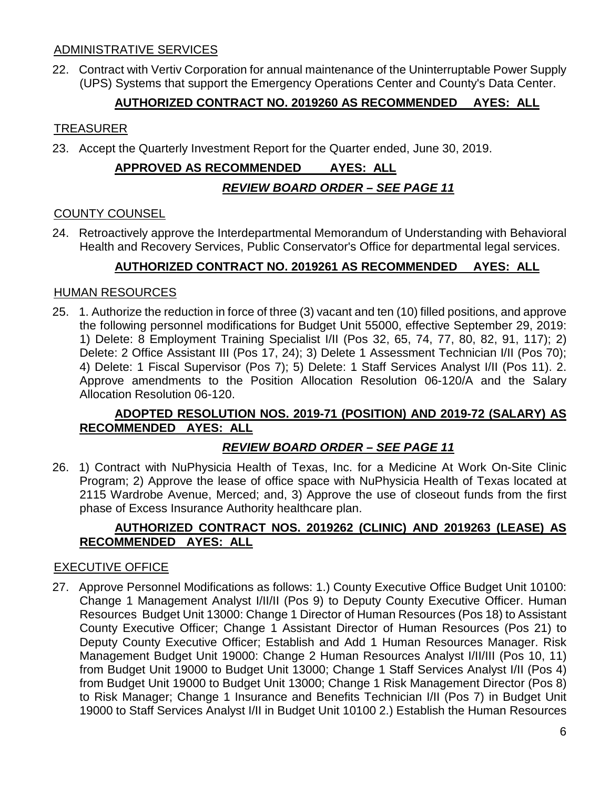#### ADMINISTRATIVE SERVICES

22. Contract with Vertiv Corporation for annual maintenance of the Uninterruptable Power Supply (UPS) Systems that support the Emergency Operations Center and County's Data Center.

#### **AUTHORIZED CONTRACT NO. 2019260 AS RECOMMENDED AYES: ALL**

#### TREASURER

23. Accept the Quarterly Investment Report for the Quarter ended, June 30, 2019.

# **APPROVED AS RECOMMENDED AYES: ALL** *REVIEW BOARD ORDER – SEE PAGE 11*

#### COUNTY COUNSEL

24. Retroactively approve the Interdepartmental Memorandum of Understanding with Behavioral Health and Recovery Services, Public Conservator's Office for departmental legal services.

### **AUTHORIZED CONTRACT NO. 2019261 AS RECOMMENDED AYES: ALL**

#### HUMAN RESOURCES

25. 1. Authorize the reduction in force of three (3) vacant and ten (10) filled positions, and approve the following personnel modifications for Budget Unit 55000, effective September 29, 2019: 1) Delete: 8 Employment Training Specialist I/II (Pos 32, 65, 74, 77, 80, 82, 91, 117); 2) Delete: 2 Office Assistant III (Pos 17, 24); 3) Delete 1 Assessment Technician I/II (Pos 70); 4) Delete: 1 Fiscal Supervisor (Pos 7); 5) Delete: 1 Staff Services Analyst I/II (Pos 11). 2. Approve amendments to the Position Allocation Resolution 06-120/A and the Salary Allocation Resolution 06-120.

#### **ADOPTED RESOLUTION NOS. 2019-71 (POSITION) AND 2019-72 (SALARY) AS RECOMMENDED AYES: ALL**

#### *REVIEW BOARD ORDER – SEE PAGE 11*

26. 1) Contract with NuPhysicia Health of Texas, Inc. for a Medicine At Work On-Site Clinic Program; 2) Approve the lease of office space with NuPhysicia Health of Texas located at 2115 Wardrobe Avenue, Merced; and, 3) Approve the use of closeout funds from the first phase of Excess Insurance Authority healthcare plan.

#### **AUTHORIZED CONTRACT NOS. 2019262 (CLINIC) AND 2019263 (LEASE) AS RECOMMENDED AYES: ALL**

#### EXECUTIVE OFFICE

27. Approve Personnel Modifications as follows: 1.) County Executive Office Budget Unit 10100: Change 1 Management Analyst I/II/II (Pos 9) to Deputy County Executive Officer. Human Resources Budget Unit 13000: Change 1 Director of Human Resources (Pos 18) to Assistant County Executive Officer; Change 1 Assistant Director of Human Resources (Pos 21) to Deputy County Executive Officer; Establish and Add 1 Human Resources Manager. Risk Management Budget Unit 19000: Change 2 Human Resources Analyst I/II/III (Pos 10, 11) from Budget Unit 19000 to Budget Unit 13000; Change 1 Staff Services Analyst I/II (Pos 4) from Budget Unit 19000 to Budget Unit 13000; Change 1 Risk Management Director (Pos 8) to Risk Manager; Change 1 Insurance and Benefits Technician I/II (Pos 7) in Budget Unit 19000 to Staff Services Analyst I/II in Budget Unit 10100 2.) Establish the Human Resources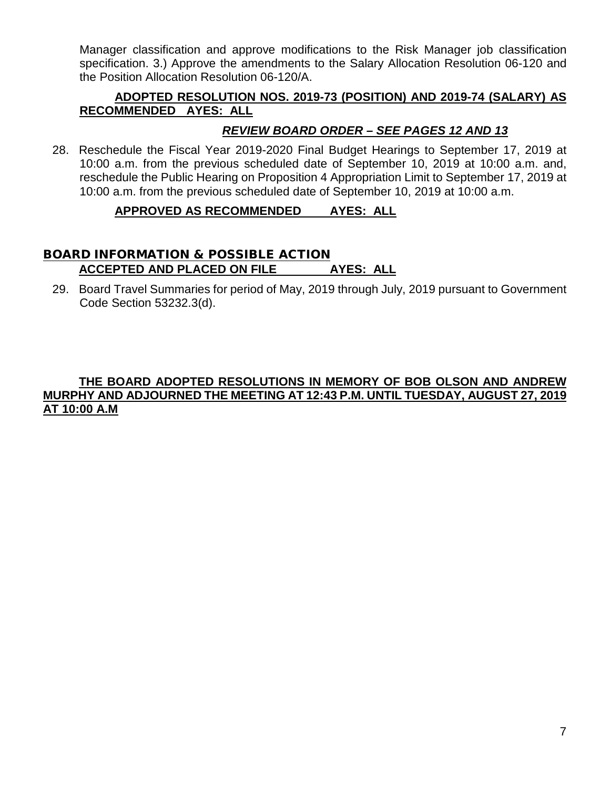Manager classification and approve modifications to the Risk Manager job classification specification. 3.) Approve the amendments to the Salary Allocation Resolution 06-120 and the Position Allocation Resolution 06-120/A.

#### **ADOPTED RESOLUTION NOS. 2019-73 (POSITION) AND 2019-74 (SALARY) AS RECOMMENDED AYES: ALL**

### *REVIEW BOARD ORDER – SEE PAGES 12 AND 13*

28. Reschedule the Fiscal Year 2019-2020 Final Budget Hearings to September 17, 2019 at 10:00 a.m. from the previous scheduled date of September 10, 2019 at 10:00 a.m. and, reschedule the Public Hearing on Proposition 4 Appropriation Limit to September 17, 2019 at 10:00 a.m. from the previous scheduled date of September 10, 2019 at 10:00 a.m.

#### **APPROVED AS RECOMMENDED AYES: ALL**

#### BOARD INFORMATION & POSSIBLE ACTION **ACCEPTED AND PLACED ON FILE AYES: ALL**

29. Board Travel Summaries for period of May, 2019 through July, 2019 pursuant to Government Code Section 53232.3(d).

#### **THE BOARD ADOPTED RESOLUTIONS IN MEMORY OF BOB OLSON AND ANDREW MURPHY AND ADJOURNED THE MEETING AT 12:43 P.M. UNTIL TUESDAY, AUGUST 27, 2019 AT 10:00 A.M**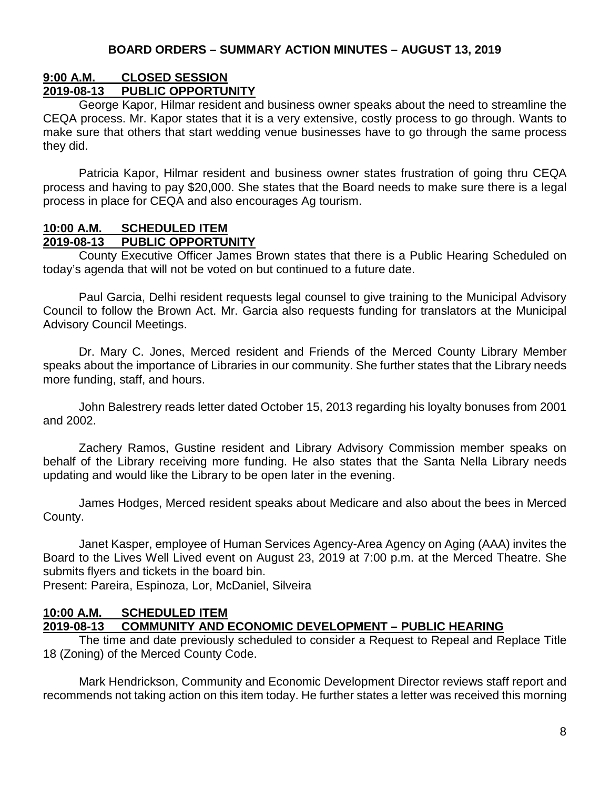## **9:00 A.M. CLOSED SESSION**

#### **2019-08-13 PUBLIC OPPORTUNITY**

George Kapor, Hilmar resident and business owner speaks about the need to streamline the CEQA process. Mr. Kapor states that it is a very extensive, costly process to go through. Wants to make sure that others that start wedding venue businesses have to go through the same process they did.

Patricia Kapor, Hilmar resident and business owner states frustration of going thru CEQA process and having to pay \$20,000. She states that the Board needs to make sure there is a legal process in place for CEQA and also encourages Ag tourism.

#### **10:00 A.M. SCHEDULED ITEM 2019-08-13 PUBLIC OPPORTUNITY**

County Executive Officer James Brown states that there is a Public Hearing Scheduled on today's agenda that will not be voted on but continued to a future date.

Paul Garcia, Delhi resident requests legal counsel to give training to the Municipal Advisory Council to follow the Brown Act. Mr. Garcia also requests funding for translators at the Municipal Advisory Council Meetings.

Dr. Mary C. Jones, Merced resident and Friends of the Merced County Library Member speaks about the importance of Libraries in our community. She further states that the Library needs more funding, staff, and hours.

John Balestrery reads letter dated October 15, 2013 regarding his loyalty bonuses from 2001 and 2002.

Zachery Ramos, Gustine resident and Library Advisory Commission member speaks on behalf of the Library receiving more funding. He also states that the Santa Nella Library needs updating and would like the Library to be open later in the evening.

James Hodges, Merced resident speaks about Medicare and also about the bees in Merced County.

Janet Kasper, employee of Human Services Agency-Area Agency on Aging (AAA) invites the Board to the Lives Well Lived event on August 23, 2019 at 7:00 p.m. at the Merced Theatre. She submits flyers and tickets in the board bin.

Present: Pareira, Espinoza, Lor, McDaniel, Silveira

#### **10:00 A.M. SCHEDULED ITEM 2019-08-13 COMMUNITY AND ECONOMIC DEVELOPMENT – PUBLIC HEARING**

The time and date previously scheduled to consider a Request to Repeal and Replace Title 18 (Zoning) of the Merced County Code.

Mark Hendrickson, Community and Economic Development Director reviews staff report and recommends not taking action on this item today. He further states a letter was received this morning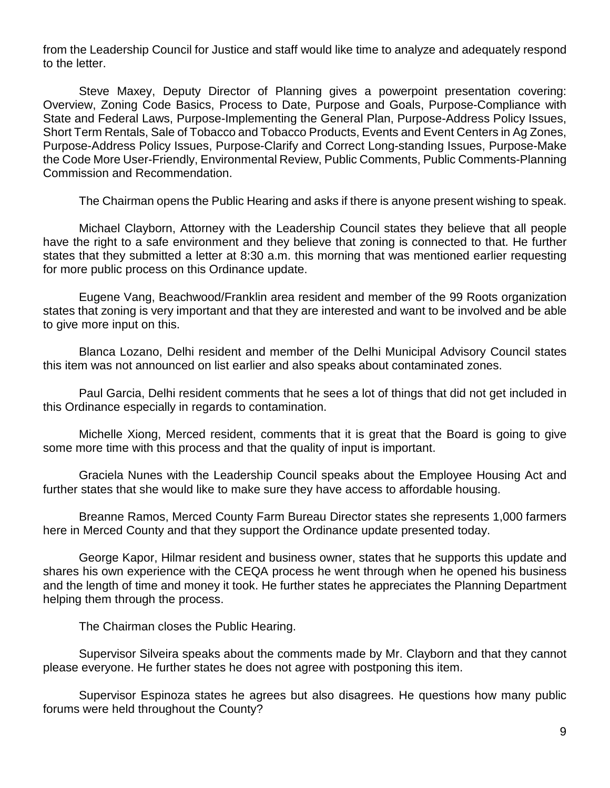from the Leadership Council for Justice and staff would like time to analyze and adequately respond to the letter.

Steve Maxey, Deputy Director of Planning gives a powerpoint presentation covering: Overview, Zoning Code Basics, Process to Date, Purpose and Goals, Purpose-Compliance with State and Federal Laws, Purpose-Implementing the General Plan, Purpose-Address Policy Issues, Short Term Rentals, Sale of Tobacco and Tobacco Products, Events and Event Centers in Ag Zones, Purpose-Address Policy Issues, Purpose-Clarify and Correct Long-standing Issues, Purpose-Make the Code More User-Friendly, Environmental Review, Public Comments, Public Comments-Planning Commission and Recommendation.

The Chairman opens the Public Hearing and asks if there is anyone present wishing to speak.

Michael Clayborn, Attorney with the Leadership Council states they believe that all people have the right to a safe environment and they believe that zoning is connected to that. He further states that they submitted a letter at 8:30 a.m. this morning that was mentioned earlier requesting for more public process on this Ordinance update.

Eugene Vang, Beachwood/Franklin area resident and member of the 99 Roots organization states that zoning is very important and that they are interested and want to be involved and be able to give more input on this.

Blanca Lozano, Delhi resident and member of the Delhi Municipal Advisory Council states this item was not announced on list earlier and also speaks about contaminated zones.

Paul Garcia, Delhi resident comments that he sees a lot of things that did not get included in this Ordinance especially in regards to contamination.

Michelle Xiong, Merced resident, comments that it is great that the Board is going to give some more time with this process and that the quality of input is important.

Graciela Nunes with the Leadership Council speaks about the Employee Housing Act and further states that she would like to make sure they have access to affordable housing.

Breanne Ramos, Merced County Farm Bureau Director states she represents 1,000 farmers here in Merced County and that they support the Ordinance update presented today.

George Kapor, Hilmar resident and business owner, states that he supports this update and shares his own experience with the CEQA process he went through when he opened his business and the length of time and money it took. He further states he appreciates the Planning Department helping them through the process.

The Chairman closes the Public Hearing.

Supervisor Silveira speaks about the comments made by Mr. Clayborn and that they cannot please everyone. He further states he does not agree with postponing this item.

Supervisor Espinoza states he agrees but also disagrees. He questions how many public forums were held throughout the County?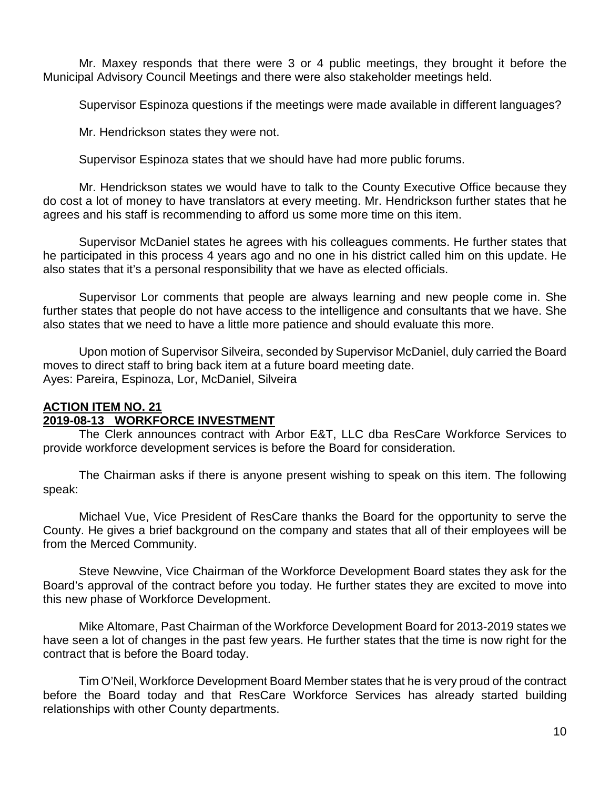Mr. Maxey responds that there were 3 or 4 public meetings, they brought it before the Municipal Advisory Council Meetings and there were also stakeholder meetings held.

Supervisor Espinoza questions if the meetings were made available in different languages?

Mr. Hendrickson states they were not.

Supervisor Espinoza states that we should have had more public forums.

Mr. Hendrickson states we would have to talk to the County Executive Office because they do cost a lot of money to have translators at every meeting. Mr. Hendrickson further states that he agrees and his staff is recommending to afford us some more time on this item.

Supervisor McDaniel states he agrees with his colleagues comments. He further states that he participated in this process 4 years ago and no one in his district called him on this update. He also states that it's a personal responsibility that we have as elected officials.

Supervisor Lor comments that people are always learning and new people come in. She further states that people do not have access to the intelligence and consultants that we have. She also states that we need to have a little more patience and should evaluate this more.

Upon motion of Supervisor Silveira, seconded by Supervisor McDaniel, duly carried the Board moves to direct staff to bring back item at a future board meeting date. Ayes: Pareira, Espinoza, Lor, McDaniel, Silveira

#### **ACTION ITEM NO. 21 2019-08-13 WORKFORCE INVESTMENT**

The Clerk announces contract with Arbor E&T, LLC dba ResCare Workforce Services to provide workforce development services is before the Board for consideration.

The Chairman asks if there is anyone present wishing to speak on this item. The following speak:

Michael Vue, Vice President of ResCare thanks the Board for the opportunity to serve the County. He gives a brief background on the company and states that all of their employees will be from the Merced Community.

Steve Newvine, Vice Chairman of the Workforce Development Board states they ask for the Board's approval of the contract before you today. He further states they are excited to move into this new phase of Workforce Development.

Mike Altomare, Past Chairman of the Workforce Development Board for 2013-2019 states we have seen a lot of changes in the past few years. He further states that the time is now right for the contract that is before the Board today.

Tim O'Neil, Workforce Development Board Member states that he is very proud of the contract before the Board today and that ResCare Workforce Services has already started building relationships with other County departments.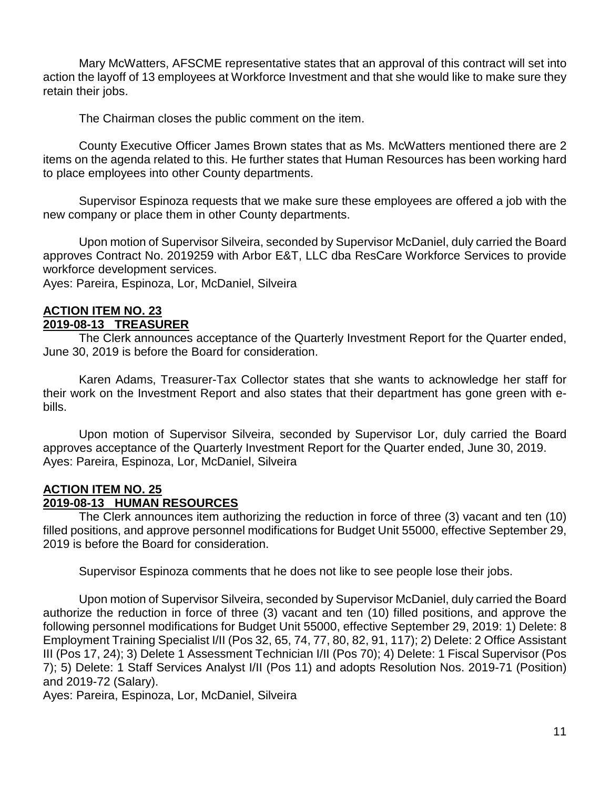Mary McWatters, AFSCME representative states that an approval of this contract will set into action the layoff of 13 employees at Workforce Investment and that she would like to make sure they retain their jobs.

The Chairman closes the public comment on the item.

County Executive Officer James Brown states that as Ms. McWatters mentioned there are 2 items on the agenda related to this. He further states that Human Resources has been working hard to place employees into other County departments.

Supervisor Espinoza requests that we make sure these employees are offered a job with the new company or place them in other County departments.

Upon motion of Supervisor Silveira, seconded by Supervisor McDaniel, duly carried the Board approves Contract No. 2019259 with Arbor E&T, LLC dba ResCare Workforce Services to provide workforce development services.

Ayes: Pareira, Espinoza, Lor, McDaniel, Silveira

#### **ACTION ITEM NO. 23 2019-08-13 TREASURER**

The Clerk announces acceptance of the Quarterly Investment Report for the Quarter ended, June 30, 2019 is before the Board for consideration.

Karen Adams, Treasurer-Tax Collector states that she wants to acknowledge her staff for their work on the Investment Report and also states that their department has gone green with ebills.

Upon motion of Supervisor Silveira, seconded by Supervisor Lor, duly carried the Board approves acceptance of the Quarterly Investment Report for the Quarter ended, June 30, 2019. Ayes: Pareira, Espinoza, Lor, McDaniel, Silveira

#### **ACTION ITEM NO. 25 2019-08-13 HUMAN RESOURCES**

The Clerk announces item authorizing the reduction in force of three (3) vacant and ten (10) filled positions, and approve personnel modifications for Budget Unit 55000, effective September 29, 2019 is before the Board for consideration.

Supervisor Espinoza comments that he does not like to see people lose their jobs.

Upon motion of Supervisor Silveira, seconded by Supervisor McDaniel, duly carried the Board authorize the reduction in force of three (3) vacant and ten (10) filled positions, and approve the following personnel modifications for Budget Unit 55000, effective September 29, 2019: 1) Delete: 8 Employment Training Specialist I/II (Pos 32, 65, 74, 77, 80, 82, 91, 117); 2) Delete: 2 Office Assistant III (Pos 17, 24); 3) Delete 1 Assessment Technician I/II (Pos 70); 4) Delete: 1 Fiscal Supervisor (Pos 7); 5) Delete: 1 Staff Services Analyst I/II (Pos 11) and adopts Resolution Nos. 2019-71 (Position) and 2019-72 (Salary).

Ayes: Pareira, Espinoza, Lor, McDaniel, Silveira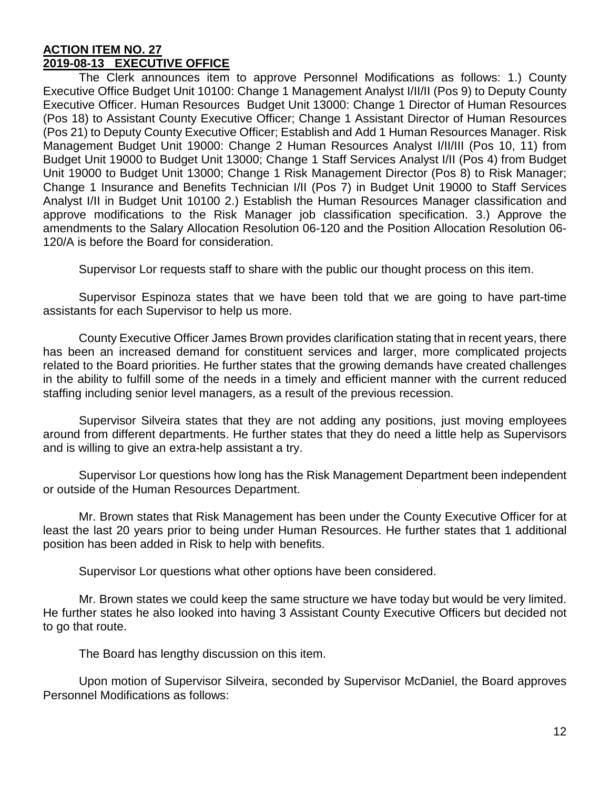#### **ACTION ITEM NO. 27 2019-08-13 EXECUTIVE OFFICE**

The Clerk announces item to approve Personnel Modifications as follows: 1.) County Executive Office Budget Unit 10100: Change 1 Management Analyst I/II/II (Pos 9) to Deputy County Executive Officer. Human Resources Budget Unit 13000: Change 1 Director of Human Resources (Pos 18) to Assistant County Executive Officer; Change 1 Assistant Director of Human Resources (Pos 21) to Deputy County Executive Officer; Establish and Add 1 Human Resources Manager. Risk Management Budget Unit 19000: Change 2 Human Resources Analyst I/II/III (Pos 10, 11) from Budget Unit 19000 to Budget Unit 13000; Change 1 Staff Services Analyst I/II (Pos 4) from Budget Unit 19000 to Budget Unit 13000; Change 1 Risk Management Director (Pos 8) to Risk Manager; Change 1 Insurance and Benefits Technician I/II (Pos 7) in Budget Unit 19000 to Staff Services Analyst I/II in Budget Unit 10100 2.) Establish the Human Resources Manager classification and approve modifications to the Risk Manager job classification specification. 3.) Approve the amendments to the Salary Allocation Resolution 06-120 and the Position Allocation Resolution 06- 120/A is before the Board for consideration.

Supervisor Lor requests staff to share with the public our thought process on this item.

Supervisor Espinoza states that we have been told that we are going to have part-time assistants for each Supervisor to help us more.

County Executive Officer James Brown provides clarification stating that in recent years, there has been an increased demand for constituent services and larger, more complicated projects related to the Board priorities. He further states that the growing demands have created challenges in the ability to fulfill some of the needs in a timely and efficient manner with the current reduced staffing including senior level managers, as a result of the previous recession.

Supervisor Silveira states that they are not adding any positions, just moving employees around from different departments. He further states that they do need a little help as Supervisors and is willing to give an extra-help assistant a try.

Supervisor Lor questions how long has the Risk Management Department been independent or outside of the Human Resources Department.

Mr. Brown states that Risk Management has been under the County Executive Officer for at least the last 20 years prior to being under Human Resources. He further states that 1 additional position has been added in Risk to help with benefits.

Supervisor Lor questions what other options have been considered.

Mr. Brown states we could keep the same structure we have today but would be very limited. He further states he also looked into having 3 Assistant County Executive Officers but decided not to go that route.

The Board has lengthy discussion on this item.

Upon motion of Supervisor Silveira, seconded by Supervisor McDaniel, the Board approves Personnel Modifications as follows: